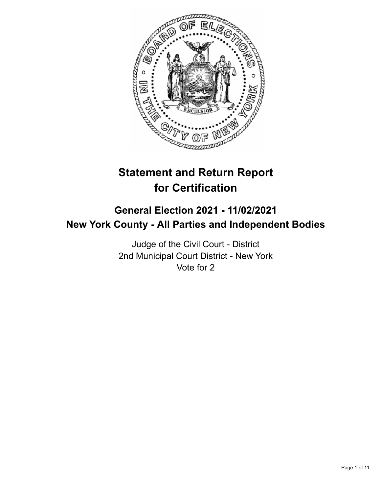

# **Statement and Return Report for Certification**

# **General Election 2021 - 11/02/2021 New York County - All Parties and Independent Bodies**

Judge of the Civil Court - District 2nd Municipal Court District - New York Vote for 2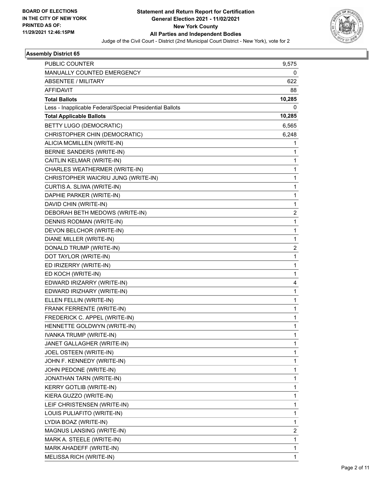

| PUBLIC COUNTER                                           | 9,575        |
|----------------------------------------------------------|--------------|
| <b>MANUALLY COUNTED EMERGENCY</b>                        | 0            |
| <b>ABSENTEE / MILITARY</b>                               | 622          |
| <b>AFFIDAVIT</b>                                         | 88           |
| <b>Total Ballots</b>                                     | 10,285       |
| Less - Inapplicable Federal/Special Presidential Ballots | 0            |
| <b>Total Applicable Ballots</b>                          | 10,285       |
| BETTY LUGO (DEMOCRATIC)                                  | 6,565        |
| CHRISTOPHER CHIN (DEMOCRATIC)                            | 6,248        |
| ALICIA MCMILLEN (WRITE-IN)                               | 1            |
| BERNIE SANDERS (WRITE-IN)                                | 1            |
| CAITLIN KELMAR (WRITE-IN)                                | 1            |
| CHARLES WEATHERMER (WRITE-IN)                            | 1            |
| CHRISTOPHER WAICRIU JUNG (WRITE-IN)                      | 1            |
| CURTIS A. SLIWA (WRITE-IN)                               | 1            |
| DAPHIE PARKER (WRITE-IN)                                 | 1            |
| DAVID CHIN (WRITE-IN)                                    | 1            |
| DEBORAH BETH MEDOWS (WRITE-IN)                           | 2            |
| DENNIS RODMAN (WRITE-IN)                                 | 1            |
| DEVON BELCHOR (WRITE-IN)                                 | $\mathbf{1}$ |
| DIANE MILLER (WRITE-IN)                                  | 1            |
| DONALD TRUMP (WRITE-IN)                                  | 2            |
| DOT TAYLOR (WRITE-IN)                                    | 1            |
| ED IRIZERRY (WRITE-IN)                                   | 1            |
| ED KOCH (WRITE-IN)                                       | 1            |
| EDWARD IRIZARRY (WRITE-IN)                               | 4            |
| EDWARD IRIZHARY (WRITE-IN)                               | 1            |
| ELLEN FELLIN (WRITE-IN)                                  | 1            |
| FRANK FERRENTE (WRITE-IN)                                | 1            |
| FREDERICK C. APPEL (WRITE-IN)                            | 1            |
| HENNETTE GOLDWYN (WRITE-IN)                              | 1            |
| IVANKA TRUMP (WRITE-IN)                                  | 1            |
| JANET GALLAGHER (WRITE-IN)                               | 1            |
| JOEL OSTEEN (WRITE-IN)                                   | 1            |
| JOHN F. KENNEDY (WRITE-IN)                               | 1            |
| JOHN PEDONE (WRITE-IN)                                   | 1            |
| JONATHAN TARN (WRITE-IN)                                 | 1            |
| <b>KERRY GOTLIB (WRITE-IN)</b>                           | 1            |
| KIERA GUZZO (WRITE-IN)                                   | 1            |
| LEIF CHRISTENSEN (WRITE-IN)                              | 1            |
| LOUIS PULIAFITO (WRITE-IN)                               | 1            |
| LYDIA BOAZ (WRITE-IN)                                    | 1            |
| MAGNUS LANSING (WRITE-IN)                                | 2            |
| MARK A. STEELE (WRITE-IN)                                | 1            |
| MARK AHADEFF (WRITE-IN)                                  | 1            |
| MELISSA RICH (WRITE-IN)                                  | 1            |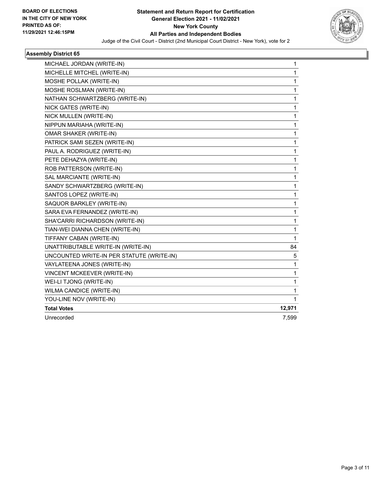

| MICHAEL JORDAN (WRITE-IN)                 | 1            |
|-------------------------------------------|--------------|
| MICHELLE MITCHEL (WRITE-IN)               | 1            |
| MOSHE POLLAK (WRITE-IN)                   | 1            |
| MOSHE ROSLMAN (WRITE-IN)                  | 1            |
| NATHAN SCHWARTZBERG (WRITE-IN)            | 1            |
| NICK GATES (WRITE-IN)                     | $\mathbf{1}$ |
| NICK MULLEN (WRITE-IN)                    | 1            |
| NIPPUN MARIAHA (WRITE-IN)                 | 1            |
| OMAR SHAKER (WRITE-IN)                    | 1            |
| PATRICK SAMI SEZEN (WRITE-IN)             | 1            |
| PAUL A. RODRIGUEZ (WRITE-IN)              | 1            |
| PETE DEHAZYA (WRITE-IN)                   | 1            |
| ROB PATTERSON (WRITE-IN)                  | 1            |
| SAL MARCIANTE (WRITE-IN)                  | 1            |
| SANDY SCHWARTZBERG (WRITE-IN)             | $\mathbf{1}$ |
| SANTOS LOPEZ (WRITE-IN)                   | 1            |
| SAQUOR BARKLEY (WRITE-IN)                 | 1            |
| SARA EVA FERNANDEZ (WRITE-IN)             | 1            |
| SHA'CARRI RICHARDSON (WRITE-IN)           | 1            |
| TIAN-WEI DIANNA CHEN (WRITE-IN)           | 1            |
| TIFFANY CABAN (WRITE-IN)                  | $\mathbf{1}$ |
| UNATTRIBUTABLE WRITE-IN (WRITE-IN)        | 84           |
| UNCOUNTED WRITE-IN PER STATUTE (WRITE-IN) | 5            |
| VAYLATEENA JONES (WRITE-IN)               | 1            |
| VINCENT MCKEEVER (WRITE-IN)               | 1            |
| WEI-LI TJONG (WRITE-IN)                   | 1            |
| WILMA CANDICE (WRITE-IN)                  | 1            |
| YOU-LINE NOV (WRITE-IN)                   | 1            |
| <b>Total Votes</b>                        | 12,971       |
| Unrecorded                                | 7,599        |
|                                           |              |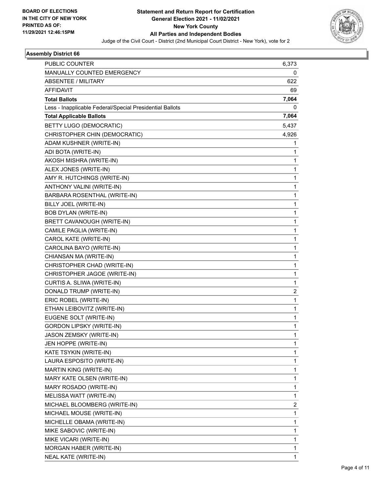

| PUBLIC COUNTER                                           | 6,373 |
|----------------------------------------------------------|-------|
| MANUALLY COUNTED EMERGENCY                               | 0     |
| ABSENTEE / MILITARY                                      | 622   |
| <b>AFFIDAVIT</b>                                         | 69    |
| <b>Total Ballots</b>                                     | 7,064 |
| Less - Inapplicable Federal/Special Presidential Ballots | 0     |
| <b>Total Applicable Ballots</b>                          | 7,064 |
| BETTY LUGO (DEMOCRATIC)                                  | 5,437 |
| CHRISTOPHER CHIN (DEMOCRATIC)                            | 4,926 |
| ADAM KUSHNER (WRITE-IN)                                  | 1     |
| ADI BOTA (WRITE-IN)                                      | 1     |
| AKOSH MISHRA (WRITE-IN)                                  | 1     |
| ALEX JONES (WRITE-IN)                                    | 1     |
| AMY R. HUTCHINGS (WRITE-IN)                              | 1     |
| ANTHONY VALINI (WRITE-IN)                                | 1     |
| BARBARA ROSENTHAL (WRITE-IN)                             | 1     |
| BILLY JOEL (WRITE-IN)                                    | 1     |
| <b>BOB DYLAN (WRITE-IN)</b>                              | 1     |
| BRETT CAVANOUGH (WRITE-IN)                               | 1     |
| CAMILE PAGLIA (WRITE-IN)                                 | 1     |
| CAROL KATE (WRITE-IN)                                    | 1     |
| CAROLINA BAYO (WRITE-IN)                                 | 1     |
| CHIANSAN MA (WRITE-IN)                                   | 1     |
| CHRISTOPHER CHAD (WRITE-IN)                              | 1     |
| CHRISTOPHER JAGOE (WRITE-IN)                             | 1     |
| CURTIS A. SLIWA (WRITE-IN)                               | 1     |
| DONALD TRUMP (WRITE-IN)                                  | 2     |
| ERIC ROBEL (WRITE-IN)                                    | 1     |
| ETHAN LEIBOVITZ (WRITE-IN)                               | 1     |
| EUGENE SOLT (WRITE-IN)                                   | 1     |
| <b>GORDON LIPSKY (WRITE-IN)</b>                          | 1     |
| JASON ZEMSKY (WRITE-IN)                                  | 1     |
| JEN HOPPE (WRITE-IN)                                     | 1     |
| KATE TSYKIN (WRITE-IN)                                   | 1     |
| LAURA ESPOSITO (WRITE-IN)                                | 1     |
| MARTIN KING (WRITE-IN)                                   | 1     |
| MARY KATE OLSEN (WRITE-IN)                               | 1     |
| MARY ROSADO (WRITE-IN)                                   | 1     |
| MELISSA WATT (WRITE-IN)                                  | 1     |
| MICHAEL BLOOMBERG (WRITE-IN)                             | 2     |
| MICHAEL MOUSE (WRITE-IN)                                 | 1     |
| MICHELLE OBAMA (WRITE-IN)                                | 1     |
| MIKE SABOVIC (WRITE-IN)                                  | 1     |
| MIKE VICARI (WRITE-IN)                                   | 1     |
| MORGAN HABER (WRITE-IN)                                  | 1     |
| NEAL KATE (WRITE-IN)                                     | 1     |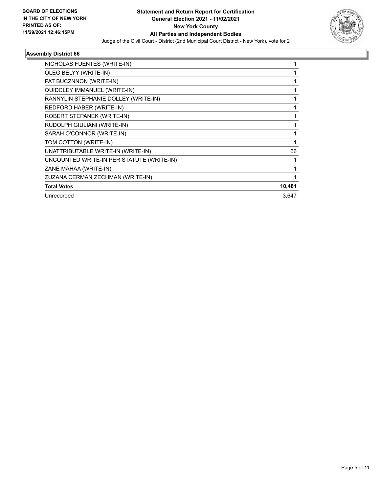

| NICHOLAS FUENTES (WRITE-IN)               |        |
|-------------------------------------------|--------|
| OLEG BELYY (WRITE-IN)                     |        |
| PAT BUCZNNON (WRITE-IN)                   |        |
| QUIDCLEY IMMANUEL (WRITE-IN)              |        |
| RANNYLIN STEPHANIE DOLLEY (WRITE-IN)      |        |
| REDFORD HABER (WRITE-IN)                  |        |
| ROBERT STEPANEK (WRITE-IN)                |        |
| RUDOLPH GIULIANI (WRITE-IN)               |        |
| SARAH O'CONNOR (WRITE-IN)                 | 1      |
| TOM COTTON (WRITE-IN)                     |        |
| UNATTRIBUTABLE WRITE-IN (WRITE-IN)        | 66     |
| UNCOUNTED WRITE-IN PER STATUTE (WRITE-IN) |        |
| ZANE MAHAA (WRITE-IN)                     |        |
| ZUZANA CERMAN ZECHMAN (WRITE-IN)          |        |
| <b>Total Votes</b>                        | 10,481 |
| Unrecorded                                | 3,647  |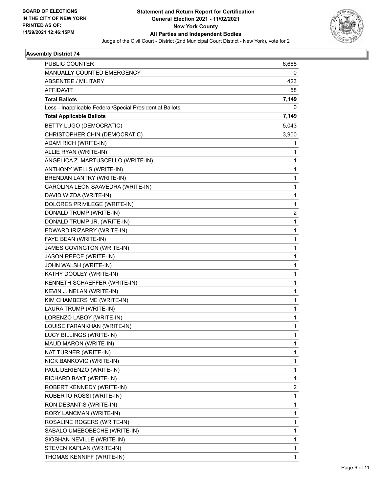

| <b>PUBLIC COUNTER</b>                                    | 6,668        |
|----------------------------------------------------------|--------------|
| <b>MANUALLY COUNTED EMERGENCY</b>                        | 0            |
| ABSENTEE / MILITARY                                      | 423          |
| <b>AFFIDAVIT</b>                                         | 58           |
| <b>Total Ballots</b>                                     | 7,149        |
| Less - Inapplicable Federal/Special Presidential Ballots | 0            |
| <b>Total Applicable Ballots</b>                          | 7,149        |
| <b>BETTY LUGO (DEMOCRATIC)</b>                           | 5,043        |
| CHRISTOPHER CHIN (DEMOCRATIC)                            | 3,900        |
| ADAM RICH (WRITE-IN)                                     | 1            |
| ALLIE RYAN (WRITE-IN)                                    | 1            |
| ANGELICA Z. MARTUSCELLO (WRITE-IN)                       | 1            |
| ANTHONY WELLS (WRITE-IN)                                 | 1            |
| BRENDAN LANTRY (WRITE-IN)                                | 1            |
| CAROLINA LEON SAAVEDRA (WRITE-IN)                        | 1            |
| DAVID WIZDA (WRITE-IN)                                   | 1            |
| DOLORES PRIVILEGE (WRITE-IN)                             | $\mathbf{1}$ |
| DONALD TRUMP (WRITE-IN)                                  | 2            |
| DONALD TRUMP JR. (WRITE-IN)                              | 1            |
| EDWARD IRIZARRY (WRITE-IN)                               | 1            |
| FAYE BEAN (WRITE-IN)                                     | 1            |
| JAMES COVINGTON (WRITE-IN)                               | 1            |
| <b>JASON REECE (WRITE-IN)</b>                            | 1            |
| JOHN WALSH (WRITE-IN)                                    | 1            |
| KATHY DOOLEY (WRITE-IN)                                  | 1            |
| KENNETH SCHAEFFER (WRITE-IN)                             | 1            |
| KEVIN J. NELAN (WRITE-IN)                                | 1            |
| KIM CHAMBERS ME (WRITE-IN)                               | 1            |
| LAURA TRUMP (WRITE-IN)                                   | 1            |
| LORENZO LABOY (WRITE-IN)                                 | 1            |
| LOUISE FARANKHAN (WRITE-IN)                              | 1            |
| LUCY BILLINGS (WRITE-IN)                                 | 1            |
| MAUD MARON (WRITE-IN)                                    | 1            |
| NAT TURNER (WRITE-IN)                                    | 1            |
| NICK BANKOVIC (WRITE-IN)                                 | 1            |
| PAUL DERIENZO (WRITE-IN)                                 | 1            |
| RICHARD BAXT (WRITE-IN)                                  | 1            |
| ROBERT KENNEDY (WRITE-IN)                                | 2            |
| ROBERTO ROSSI (WRITE-IN)                                 | 1            |
| RON DESANTIS (WRITE-IN)                                  | 1            |
| RORY LANCMAN (WRITE-IN)                                  | 1            |
| ROSALINE ROGERS (WRITE-IN)                               | 1            |
| SABALO UMEBOBECHE (WRITE-IN)                             | 1            |
| SIOBHAN NEVILLE (WRITE-IN)                               | 1            |
| STEVEN KAPLAN (WRITE-IN)                                 | 1            |
| THOMAS KENNIFF (WRITE-IN)                                | 1            |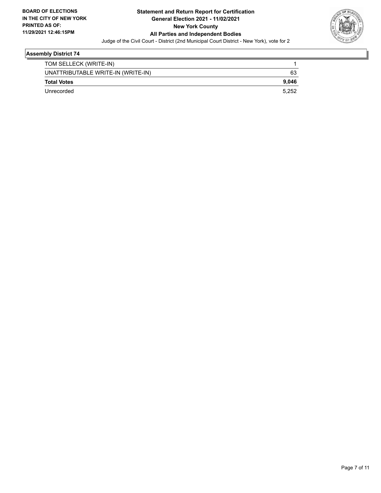

| TOM SELLECK (WRITE-IN)             |       |
|------------------------------------|-------|
| UNATTRIBUTABLE WRITE-IN (WRITE-IN) | 63    |
| <b>Total Votes</b>                 | 9.046 |
| Unrecorded                         | 5.252 |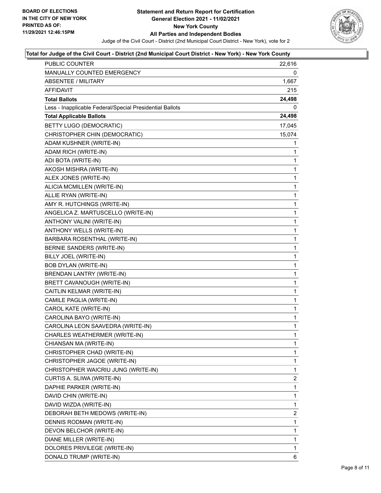

| PUBLIC COUNTER                                           | 22,616         |
|----------------------------------------------------------|----------------|
| MANUALLY COUNTED EMERGENCY                               | 0              |
| ABSENTEE / MILITARY                                      | 1,667          |
| AFFIDAVIT                                                | 215            |
| <b>Total Ballots</b>                                     | 24,498         |
| Less - Inapplicable Federal/Special Presidential Ballots | 0              |
| <b>Total Applicable Ballots</b>                          | 24,498         |
| <b>BETTY LUGO (DEMOCRATIC)</b>                           | 17,045         |
| CHRISTOPHER CHIN (DEMOCRATIC)                            | 15,074         |
| ADAM KUSHNER (WRITE-IN)                                  | 1              |
| ADAM RICH (WRITE-IN)                                     | 1              |
| ADI BOTA (WRITE-IN)                                      | 1              |
| AKOSH MISHRA (WRITE-IN)                                  | 1              |
| ALEX JONES (WRITE-IN)                                    | $\mathbf{1}$   |
| ALICIA MCMILLEN (WRITE-IN)                               | 1              |
| ALLIE RYAN (WRITE-IN)                                    | 1              |
| AMY R. HUTCHINGS (WRITE-IN)                              | 1              |
| ANGELICA Z. MARTUSCELLO (WRITE-IN)                       | 1              |
| ANTHONY VALINI (WRITE-IN)                                | 1              |
| ANTHONY WELLS (WRITE-IN)                                 | $\mathbf{1}$   |
| BARBARA ROSENTHAL (WRITE-IN)                             | 1              |
| BERNIE SANDERS (WRITE-IN)                                | 1              |
| BILLY JOEL (WRITE-IN)                                    | 1              |
| <b>BOB DYLAN (WRITE-IN)</b>                              | 1              |
| BRENDAN LANTRY (WRITE-IN)                                | 1              |
| BRETT CAVANOUGH (WRITE-IN)                               | $\mathbf{1}$   |
| CAITLIN KELMAR (WRITE-IN)                                | 1              |
| CAMILE PAGLIA (WRITE-IN)                                 | 1              |
| CAROL KATE (WRITE-IN)                                    | $\mathbf{1}$   |
| CAROLINA BAYO (WRITE-IN)                                 | 1              |
| CAROLINA LEON SAAVEDRA (WRITE-IN)                        | 1              |
| CHARLES WEATHERMER (WRITE-IN)                            | 1              |
| CHIANSAN MA (WRITE-IN)                                   | 1              |
| CHRISTOPHER CHAD (WRITE-IN)                              | 1              |
| CHRISTOPHER JAGOE (WRITE-IN)                             | 1              |
| CHRISTOPHER WAICRIU JUNG (WRITE-IN)                      | 1              |
| CURTIS A. SLIWA (WRITE-IN)                               | $\overline{c}$ |
| DAPHIE PARKER (WRITE-IN)                                 | 1              |
| DAVID CHIN (WRITE-IN)                                    | 1              |
| DAVID WIZDA (WRITE-IN)                                   | 1              |
| DEBORAH BETH MEDOWS (WRITE-IN)                           | $\overline{2}$ |
| DENNIS RODMAN (WRITE-IN)                                 | 1              |
| DEVON BELCHOR (WRITE-IN)                                 | 1              |
| DIANE MILLER (WRITE-IN)                                  | 1              |
| DOLORES PRIVILEGE (WRITE-IN)                             | 1              |
| DONALD TRUMP (WRITE-IN)                                  | 6              |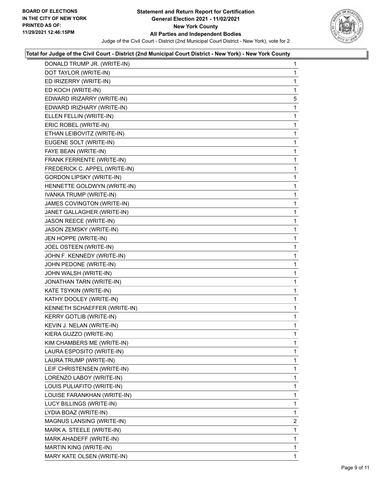

| DONALD TRUMP JR. (WRITE-IN)     | 1              |
|---------------------------------|----------------|
| DOT TAYLOR (WRITE-IN)           | 1              |
| ED IRIZERRY (WRITE-IN)          | 1              |
| ED KOCH (WRITE-IN)              | 1              |
| EDWARD IRIZARRY (WRITE-IN)      | 5              |
| EDWARD IRIZHARY (WRITE-IN)      | 1              |
| ELLEN FELLIN (WRITE-IN)         | 1              |
| ERIC ROBEL (WRITE-IN)           | 1              |
| ETHAN LEIBOVITZ (WRITE-IN)      | 1              |
| EUGENE SOLT (WRITE-IN)          | 1              |
| FAYE BEAN (WRITE-IN)            | 1              |
| FRANK FERRENTE (WRITE-IN)       | 1              |
| FREDERICK C. APPEL (WRITE-IN)   | 1              |
| <b>GORDON LIPSKY (WRITE-IN)</b> | 1              |
| HENNETTE GOLDWYN (WRITE-IN)     | 1              |
| IVANKA TRUMP (WRITE-IN)         | 1              |
| JAMES COVINGTON (WRITE-IN)      | 1              |
| JANET GALLAGHER (WRITE-IN)      | 1              |
| JASON REECE (WRITE-IN)          | 1              |
| JASON ZEMSKY (WRITE-IN)         | 1              |
| JEN HOPPE (WRITE-IN)            | 1              |
| JOEL OSTEEN (WRITE-IN)          | 1              |
| JOHN F. KENNEDY (WRITE-IN)      | 1              |
| JOHN PEDONE (WRITE-IN)          | 1              |
| JOHN WALSH (WRITE-IN)           | 1              |
| JONATHAN TARN (WRITE-IN)        | 1              |
| KATE TSYKIN (WRITE-IN)          | 1              |
| KATHY DOOLEY (WRITE-IN)         | 1              |
| KENNETH SCHAEFFER (WRITE-IN)    | 1              |
| <b>KERRY GOTLIB (WRITE-IN)</b>  | 1              |
| KEVIN J. NELAN (WRITE-IN)       | 1              |
| KIERA GUZZO (WRITE-IN)          | $\mathbf{1}$   |
| KIM CHAMBERS ME (WRITE-IN)      | 1              |
| LAURA ESPOSITO (WRITE-IN)       | 1              |
| LAURA TRUMP (WRITE-IN)          | 1              |
| LEIF CHRISTENSEN (WRITE-IN)     | 1              |
| LORENZO LABOY (WRITE-IN)        | 1              |
| LOUIS PULIAFITO (WRITE-IN)      | 1              |
| LOUISE FARANKHAN (WRITE-IN)     | 1              |
| LUCY BILLINGS (WRITE-IN)        | 1              |
| LYDIA BOAZ (WRITE-IN)           | 1              |
| MAGNUS LANSING (WRITE-IN)       | $\overline{2}$ |
| MARK A. STEELE (WRITE-IN)       | 1              |
| MARK AHADEFF (WRITE-IN)         | 1              |
| MARTIN KING (WRITE-IN)          | 1              |
| MARY KATE OLSEN (WRITE-IN)      | 1              |
|                                 |                |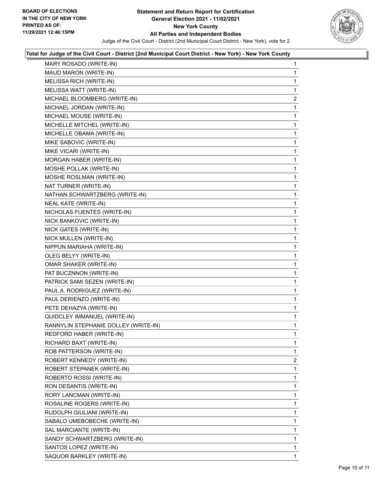

| MARY ROSADO (WRITE-IN)               | 1              |
|--------------------------------------|----------------|
| MAUD MARON (WRITE-IN)                | 1              |
| MELISSA RICH (WRITE-IN)              | 1              |
| MELISSA WATT (WRITE-IN)              | 1              |
| MICHAEL BLOOMBERG (WRITE-IN)         | $\overline{2}$ |
| MICHAEL JORDAN (WRITE-IN)            | 1              |
| MICHAEL MOUSE (WRITE-IN)             | 1              |
| MICHELLE MITCHEL (WRITE-IN)          | 1              |
| MICHELLE OBAMA (WRITE-IN)            | 1              |
| MIKE SABOVIC (WRITE-IN)              | 1              |
| MIKE VICARI (WRITE-IN)               | 1              |
| MORGAN HABER (WRITE-IN)              | 1              |
| MOSHE POLLAK (WRITE-IN)              | 1              |
| MOSHE ROSLMAN (WRITE-IN)             | 1              |
| NAT TURNER (WRITE-IN)                | 1              |
| NATHAN SCHWARTZBERG (WRITE-IN)       | 1              |
| NEAL KATE (WRITE-IN)                 | 1              |
| NICHOLAS FUENTES (WRITE-IN)          | 1              |
| NICK BANKOVIC (WRITE-IN)             | 1              |
| NICK GATES (WRITE-IN)                | 1              |
| NICK MULLEN (WRITE-IN)               | 1              |
| NIPPUN MARIAHA (WRITE-IN)            | 1              |
| OLEG BELYY (WRITE-IN)                | 1              |
| OMAR SHAKER (WRITE-IN)               | 1              |
| PAT BUCZNNON (WRITE-IN)              | 1              |
| PATRICK SAMI SEZEN (WRITE-IN)        | 1              |
| PAUL A. RODRIGUEZ (WRITE-IN)         | 1              |
| PAUL DERIENZO (WRITE-IN)             | 1              |
| PETE DEHAZYA (WRITE-IN)              | 1              |
| QUIDCLEY IMMANUEL (WRITE-IN)         | 1              |
| RANNYLIN STEPHANIE DOLLEY (WRITE-IN) | 1              |
| REDFORD HABER (WRITE-IN)             | 1              |
| RICHARD BAXT (WRITE-IN)              | 1              |
| ROB PATTERSON (WRITE-IN)             | 1              |
| ROBERT KENNEDY (WRITE-IN)            | $\overline{2}$ |
| ROBERT STEPANEK (WRITE-IN)           | 1              |
| ROBERTO ROSSI (WRITE-IN)             | 1              |
| RON DESANTIS (WRITE-IN)              | 1              |
| RORY LANCMAN (WRITE-IN)              | 1              |
| ROSALINE ROGERS (WRITE-IN)           | 1              |
| RUDOLPH GIULIANI (WRITE-IN)          | 1              |
| SABALO UMEBOBECHE (WRITE-IN)         | 1              |
| SAL MARCIANTE (WRITE-IN)             | 1              |
| SANDY SCHWARTZBERG (WRITE-IN)        | 1              |
| SANTOS LOPEZ (WRITE-IN)              | 1              |
| SAQUOR BARKLEY (WRITE-IN)            | 1              |
|                                      |                |